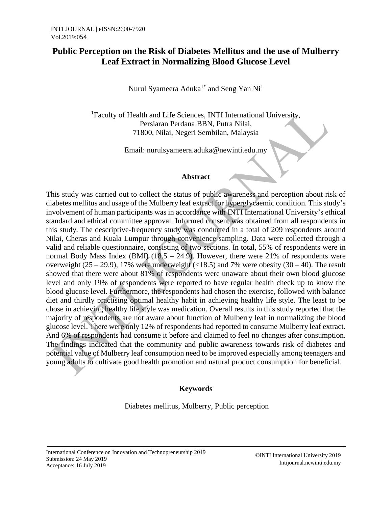## **Public Perception on the Risk of Diabetes Mellitus and the use of Mulberry Leaf Extract in Normalizing Blood Glucose Level**

Nurul Syameera Aduka $^{1^*}$  and Seng Yan Ni $^1$ 

<sup>1</sup>Faculty of Health and Life Sciences, INTI International University, Persiaran Perdana BBN, Putra Nilai, 71800, Nilai, Negeri Sembilan, Malaysia

Email: nurulsyameera.aduka@newinti.edu.my

## **Abstract**

This study was carried out to collect the status of public awareness and perception about risk of diabetes mellitus and usage of the Mulberry leaf extract for hyperglycaemic condition. This study's involvement of human participants was in accordance with INTI International University's ethical standard and ethical committee approval. Informed consent was obtained from all respondents in this study. The descriptive-frequency study was conducted in a total of 209 respondents around Nilai, Cheras and Kuala Lumpur through convenience sampling. Data were collected through a valid and reliable questionnaire, consisting of two sections. In total, 55% of respondents were in normal Body Mass Index (BMI)  $(18.5 - 24.9)$ . However, there were 21% of respondents were overweight  $(25 - 29.9)$ , 17% were underweight (<18.5) and 7% were obesity  $(30 - 40)$ . The result showed that there were about 81% of respondents were unaware about their own blood glucose level and only 19% of respondents were reported to have regular health check up to know the blood glucose level. Furthermore, the respondents had chosen the exercise, followed with balance diet and thirdly practising optimal healthy habit in achieving healthy life style. The least to be chose in achieving healthy life style was medication. Overall results in this study reported that the majority of respondents are not aware about function of Mulberry leaf in normalizing the blood glucose level. There were only 12% of respondents had reported to consume Mulberry leaf extract. And 6% of respondents had consume it before and claimed to feel no changes after consumption. The findings indicated that the community and public awareness towards risk of diabetes and potential value of Mulberry leaf consumption need to be improved especially among teenagers and young adults to cultivate good health promotion and natural product consumption for beneficial.

## **Keywords**

Diabetes mellitus, Mulberry, Public perception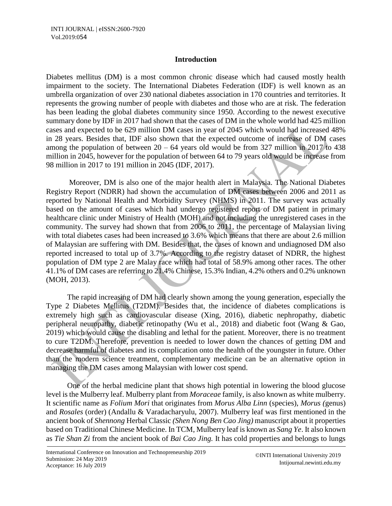## **Introduction**

Diabetes mellitus (DM) is a most common chronic disease which had caused mostly health impairment to the society. The International Diabetes Federation (IDF) is well known as an umbrella organization of over 230 national diabetes association in 170 countries and territories. It represents the growing number of people with diabetes and those who are at risk. The federation has been leading the global diabetes community since 1950. According to the newest executive summary done by IDF in 2017 had shown that the cases of DM in the whole world had 425 million cases and expected to be 629 million DM cases in year of 2045 which would had increased 48% in 28 years. Besides that, IDF also shown that the expected outcome of increase of DM cases among the population of between  $20 - 64$  years old would be from 327 million in 2017 to 438 million in 2045, however for the population of between 64 to 79 years old would be increase from 98 million in 2017 to 191 million in 2045 (IDF, 2017).

Moreover, DM is also one of the major health alert in Malaysia. The National Diabetes Registry Report (NDRR) had shown the accumulation of DM cases between 2006 and 2011 as reported by National Health and Morbidity Survey (NHMS) in 2011. The survey was actually based on the amount of cases which had undergo registered report of DM patient in primary healthcare clinic under Ministry of Health (MOH) and not including the unregistered cases in the community. The survey had shown that from 2006 to 2011, the percentage of Malaysian living with total diabetes cases had been increased to 3.6% which means that there are about 2.6 million of Malaysian are suffering with DM. Besides that, the cases of known and undiagnosed DM also reported increased to total up of 3.7%. According to the registry dataset of NDRR, the highest population of DM type 2 are Malay race which had total of 58.9% among other races. The other 41.1% of DM cases are referring to 21.4% Chinese, 15.3% Indian, 4.2% others and 0.2% unknown (MOH, 2013).

 The rapid increasing of DM had clearly shown among the young generation, especially the Type 2 Diabetes Mellitus (T2DM). Besides that, the incidence of diabetes complications is extremely high such as cardiovascular disease (Xing, 2016), diabetic nephropathy, diabetic peripheral neuropathy, diabetic retinopathy (Wu et al., 2018) and diabetic foot (Wang & Gao, 2019) which would cause the disabling and lethal for the patient. Moreover, there is no treatment to cure T2DM. Therefore, prevention is needed to lower down the chances of getting DM and decrease harmful of diabetes and its complication onto the health of the youngster in future. Other than the modern science treatment, complementary medicine can be an alternative option in managing the DM cases among Malaysian with lower cost spend.

 One of the herbal medicine plant that shows high potential in lowering the blood glucose level is the Mulberry leaf. Mulberry plant from *Moraceae* family, is also known as white mulberry. It scientific name as *Folium Mori* that originates from *Morus Alba Linn* (species), *Morus (*genus) and *Rosales* (order) (Andallu & Varadacharyulu, 2007). Mulberry leaf was first mentioned in the ancient book of *Shennong* Herbal Classic *(Shen Nong Ben Cao Jing)* manuscript about it properties based on Traditional Chinese Medicine. In TCM, Mulberry leaf is known as *Sang Ye*. It also known as *Tie Shan Zi* from the ancient book of *Bai Cao Jing.* It has cold properties and belongs to lungs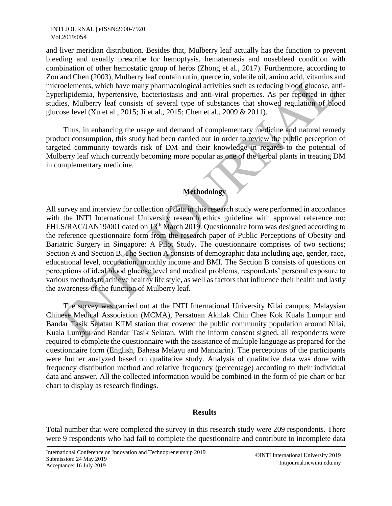and liver meridian distribution. Besides that, Mulberry leaf actually has the function to prevent bleeding and usually prescribe for hemoptysis, hematemesis and nosebleed condition with combination of other hemostatic group of herbs (Zhong et al., 2017). Furthermore, according to Zou and Chen (2003), Mulberry leaf contain rutin, quercetin, volatile oil, amino acid, vitamins and microelements, which have many pharmacological activities such as reducing blood glucose, antihyperlipidemia, hypertensive, bacteriostasis and anti-viral properties. As per reported in other studies, Mulberry leaf consists of several type of substances that showed regulation of blood glucose level (Xu et al., 2015; Ji et al., 2015; Chen et al., 2009 & 2011).

Thus, in enhancing the usage and demand of complementary medicine and natural remedy product consumption, this study had been carried out in order to review the public perception of targeted community towards risk of DM and their knowledge in regards to the potential of Mulberry leaf which currently becoming more popular as one of the herbal plants in treating DM in complementary medicine.

# **Methodology**

All survey and interview for collection of data in this research study were performed in accordance with the INTI International University research ethics guideline with approval reference no: FHLS/RAC/JAN19/001 dated on 13<sup>th</sup> March 2019. Questionnaire form was designed according to the reference questionnaire form from the research paper of Public Perceptions of Obesity and Bariatric Surgery in Singapore: A Pilot Study. The questionnaire comprises of two sections; Section A and Section B. The Section A consists of demographic data including age, gender, race, educational level, occupation, monthly income and BMI. The Section B consists of questions on perceptions of ideal blood glucose level and medical problems, respondents' personal exposure to various methods to achieve healthy life style, as well as factors that influence their health and lastly the awareness of the function of Mulberry leaf.

The survey was carried out at the INTI International University Nilai campus, Malaysian Chinese Medical Association (MCMA), Persatuan Akhlak Chin Chee Kok Kuala Lumpur and Bandar Tasik Selatan KTM station that covered the public community population around Nilai, Kuala Lumpur and Bandar Tasik Selatan. With the inform consent signed, all respondents were required to complete the questionnaire with the assistance of multiple language as prepared for the questionnaire form (English, Bahasa Melayu and Mandarin). The perceptions of the participants were further analyzed based on qualitative study. Analysis of qualitative data was done with frequency distribution method and relative frequency (percentage) according to their individual data and answer. All the collected information would be combined in the form of pie chart or bar chart to display as research findings.

## **Results**

Total number that were completed the survey in this research study were 209 respondents. There were 9 respondents who had fail to complete the questionnaire and contribute to incomplete data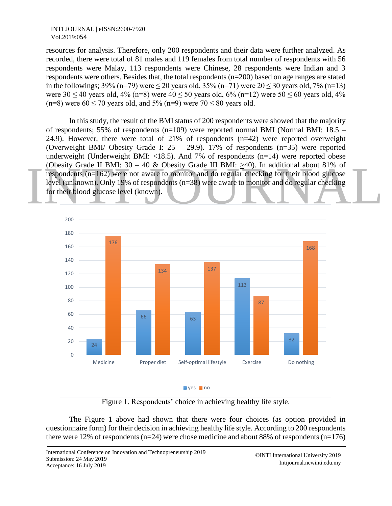resources for analysis. Therefore, only 200 respondents and their data were further analyzed. As recorded, there were total of 81 males and 119 females from total number of respondents with 56 respondents were Malay, 113 respondents were Chinese, 28 respondents were Indian and 3 respondents were others. Besides that, the total respondents (n=200) based on age ranges are stated in the followings; 39% (n=79) were  $\leq$  20 years old, 35% (n=71) were 20  $\leq$  30 years old, 7% (n=13) were  $30 \le 40$  years old,  $4\%$  (n=8) were  $40 \le 50$  years old,  $6\%$  (n=12) were  $50 \le 60$  years old,  $4\%$ (n=8) were  $60 \le 70$  years old, and  $5\%$  (n=9) were  $70 \le 80$  years old.

(Obesity Grade II BMI:  $30 - 40$  & Obesity Grade III BMI:  $\geq 40$ ). In additional about 81% of<br>respondents (n=162) were not aware to monitor and do regular checking for their blood glucose<br>level (unknown). Only 19% of res In this study, the result of the BMI status of 200 respondents were showed that the majority of respondents; 55% of respondents (n=109) were reported normal BMI (Normal BMI: 18.5 – 24.9). However, there were total of 21% of respondents (n=42) were reported overweight (Overweight BMI/ Obesity Grade I: 25 – 29.9). 17% of respondents (n=35) were reported underweight (Underweight BMI:  $\langle 18.5 \rangle$ ). And 7% of respondents (n=14) were reported obese (Obesity Grade II BMI: 30 – 40 & Obesity Grade III BMI: >40). In additional about 81% of respondents (n=162) were not aware to monitor and do regular checking for their blood glucose level (unknown). Only 19% of respondents (n=38) were aware to monitor and do regular checking for their blood glucose level (known).



Figure 1. Respondents' choice in achieving healthy life style.

The Figure 1 above had shown that there were four choices (as option provided in questionnaire form) for their decision in achieving healthy life style. According to 200 respondents there were 12% of respondents ( $n=24$ ) were chose medicine and about 88% of respondents ( $n=176$ )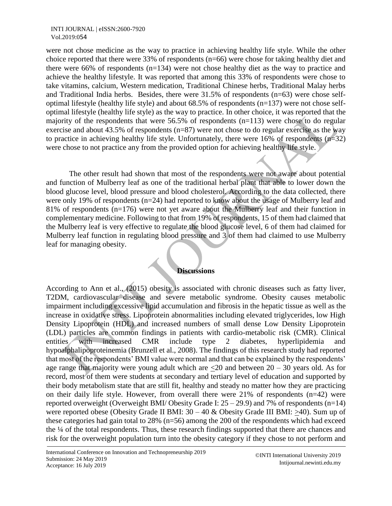were not chose medicine as the way to practice in achieving healthy life style. While the other choice reported that there were 33% of respondents (n=66) were chose for taking healthy diet and there were 66% of respondents  $(n=134)$  were not chose healthy diet as the way to practice and achieve the healthy lifestyle. It was reported that among this 33% of respondents were chose to take vitamins, calcium, Western medication, Traditional Chinese herbs, Traditional Malay herbs and Traditional India herbs. Besides, there were 31.5% of respondents (n=63) were chose selfoptimal lifestyle (healthy life style) and about 68.5% of respondents (n=137) were not chose selfoptimal lifestyle (healthy life style) as the way to practice. In other choice, it was reported that the majority of the respondents that were  $56.5\%$  of respondents (n=113) were chose to do regular exercise and about 43.5% of respondents ( $n=87$ ) were not chose to do regular exercise as the way to practice in achieving healthy life style. Unfortunately, there were 16% of respondents  $(n=32)$ were chose to not practice any from the provided option for achieving healthy life style.

The other result had shown that most of the respondents were not aware about potential and function of Mulberry leaf as one of the traditional herbal plant that able to lower down the blood glucose level, blood pressure and blood cholesterol. According to the data collected, there were only 19% of respondents (n=24) had reported to know about the usage of Mulberry leaf and 81% of respondents (n=176) were not yet aware about the Mulberry leaf and their function in complementary medicine. Following to that from 19% of respondents, 15 of them had claimed that the Mulberry leaf is very effective to regulate the blood glucose level, 6 of them had claimed for Mulberry leaf function in regulating blood pressure and 3 of them had claimed to use Mulberry leaf for managing obesity.

## **Discussions**

According to Ann et al., (2015) obesity is associated with chronic diseases such as fatty liver, T2DM, cardiovascular disease and severe metabolic syndrome. Obesity causes metabolic impairment including excessive lipid accumulation and fibrosis in the hepatic tissue as well as the increase in oxidative stress. Lipoprotein abnormalities including elevated triglycerides, low High Density Lipoprotein (HDL) and increased numbers of small dense Low Density Lipoprotein (LDL) particles are common findings in patients with cardio-metabolic risk (CMR). Clinical entities with increased CMR include type 2 diabetes, hyperlipidemia and hypoalphalipoproteinemia (Brunzell et al., 2008). The findings of this research study had reported that most of the respondents' BMI value were normal and that can be explained by the respondents' age range that majority were young adult which are  $\leq 20$  and between 20 – 30 years old. As for record, most of them were students at secondary and tertiary level of education and supported by their body metabolism state that are still fit, healthy and steady no matter how they are practicing on their daily life style. However, from overall there were 21% of respondents (n=42) were reported overweight (Overweight BMI/ Obesity Grade I:  $25 - 29.9$ ) and 7% of respondents (n=14) were reported obese (Obesity Grade II BMI:  $30 - 40$  & Obesity Grade III BMI:  $>40$ ). Sum up of these categories had gain total to 28% (n=56) among the 200 of the respondents which had exceed the ¼ of the total respondents. Thus, these research findings supported that there are chances and risk for the overweight population turn into the obesity category if they chose to not perform and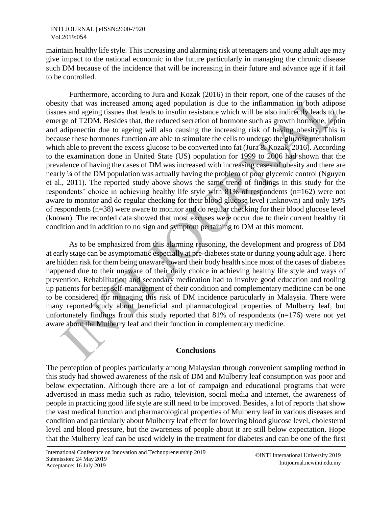maintain healthy life style. This increasing and alarming risk at teenagers and young adult age may give impact to the national economic in the future particularly in managing the chronic disease such DM because of the incidence that will be increasing in their future and advance age if it fail to be controlled.

Furthermore, according to Jura and Kozak (2016) in their report, one of the causes of the obesity that was increased among aged population is due to the inflammation in both adipose tissues and ageing tissues that leads to insulin resistance which will be also indirectly leads to the emerge of T2DM. Besides that, the reduced secretion of hormone such as growth hormone, leptin and adipenectin due to ageing will also causing the increasing risk of having obesity. This is because these hormones function are able to stimulate the cells to undergo the glucose metabolism which able to prevent the excess glucose to be converted into fat (Jura & Kozak, 2016). According to the examination done in United State (US) population for 1999 to 2006 had shown that the prevalence of having the cases of DM was increased with increasing cases of obesity and there are nearly ¼ of the DM population was actually having the problem of poor glycemic control (Nguyen et al., 2011). The reported study above shows the same trend of findings in this study for the respondents' choice in achieving healthy life style with 81% of respondents (n=162) were not aware to monitor and do regular checking for their blood glucose level (unknown) and only 19% of respondents (n=38) were aware to monitor and do regular checking for their blood glucose level (known). The recorded data showed that most excuses were occur due to their current healthy fit condition and in addition to no sign and symptom pertaining to DM at this moment.

As to be emphasized from this alarming reasoning, the development and progress of DM at early stage can be asymptomatic especially at pre-diabetes state or during young adult age. There are hidden risk for them being unaware toward their body health since most of the cases of diabetes happened due to their unaware of their daily choice in achieving healthy life style and ways of prevention. Rehabilitation and secondary medication had to involve good education and tooling up patients for better self-management of their condition and complementary medicine can be one to be considered for managing this risk of DM incidence particularly in Malaysia. There were many reported study about beneficial and pharmacological properties of Mulberry leaf, but unfortunately findings from this study reported that 81% of respondents (n=176) were not yet aware about the Mulberry leaf and their function in complementary medicine.

## **Conclusions**

The perception of peoples particularly among Malaysian through convenient sampling method in this study had showed awareness of the risk of DM and Mulberry leaf consumption was poor and below expectation. Although there are a lot of campaign and educational programs that were advertised in mass media such as radio, television, social media and internet, the awareness of people in practicing good life style are still need to be improved. Besides, a lot of reports that show the vast medical function and pharmacological properties of Mulberry leaf in various diseases and condition and particularly about Mulberry leaf effect for lowering blood glucose level, cholesterol level and blood pressure, but the awareness of people about it are still below expectation. Hope that the Mulberry leaf can be used widely in the treatment for diabetes and can be one of the first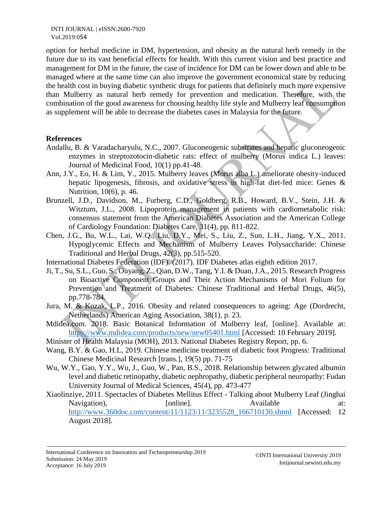option for herbal medicine in DM, hypertension, and obesity as the natural herb remedy in the future due to its vast beneficial effects for health. With this current vision and best practice and management for DM in the future, the case of incidence for DM can be lower down and able to be managed where at the same time can also improve the government economical state by reducing the health cost in buying diabetic synthetic drugs for patients that definitely much more expensive than Mulberry as natural herb remedy for prevention and medication. Therefore, with the combination of the good awareness for choosing healthy life style and Mulberry leaf consumption as supplement will be able to decrease the diabetes cases in Malaysia for the future.

#### **References**

- Andallu, B. & Varadacharyulu, N.C., 2007. Gluconeogenic substrates and hepatic gluconeogenic enzymes in streptozotocin-diabetic rats: effect of mulberry (Morus indica L.) leaves: Journal of Medicinal Food, 10(1) pp.41-48.
- Ann, J.Y., Eo, H. & Lim, Y., 2015. Mulberry leaves (Morus alba L.) ameliorate obesity-induced hepatic lipogenesis, fibrosis, and oxidative stress in high-fat diet-fed mice: Genes & Nutrition, 10(6), p. 46.
- Brunzell, J.D., Davidson, M., Furberg, C.D., Goldberg, R.B., Howard, B.V., Stein, J.H. & Witztum, J.L., 2008. Lipoprotein management in patients with cardiometabolic risk: consensus statement from the American Diabetes Association and the American College of Cardiology Foundation: Diabetes Care, 31(4), pp. 811-822.
- Chen, J.G., Bu, W.L., Lai, W.Q., Liu, D.Y., Mei, S., Liu, Z., Sun, L.H., Jiang, Y.X., 2011. Hypoglycemic Effects and Mechanism of Mulberry Leaves Polysaccharide: Chinese Traditional and Herbal Drugs, 42(3), pp.515-520.
- International Diabetes Federation (IDF). (2017). IDF Diabetes atlas eighth edition 2017.
- Ji, T., Su, S.L., Guo, S., Ouyang, Z., Qian, D.W., Tang, Y.I. & Duan, J.A., 2015. Research Progress on Bioactive Component Groups and Their Action Mechanisms of Mori Folium for Prevention and Treatment of Diabetes: Chinese Traditional and Herbal Drugs, 46(5), pp.778-784.
- Jura, M. & Kozak, L.P., 2016. Obesity and related consequences to ageing: Age (Dordrecht, Netherlands) American Aging Association, 38(1), p. 23.
- Mdidea.com. 2018. Basic Botanical Information of Mulberry leaf, [online]. Available at: <https://www.mdidea.com/products/new/new05401.html> [Accessed: 10 February 2019].
- Minister of Health Malaysia (MOH), 2013. National Diabetes Registry Report, pp. 6.
- Wang, B.Y. & Gao, H.L, 2019. Chinese medicine treatment of diabetic foot Progress: Traditional Chinese Medicinal Research [trans.], 19(5) pp. 71-75
- Wu, W.Y., Gao, Y.Y., Wu, J., Guo, W., Pan, B.S., 2018. Relationship between glycated albumin level and diabetic retinopathy, diabetic nephropathy, diabetic peripheral neuropathy: Fudan University Journal of Medical Sciences, 45(4), pp. 473-477
- Xiaolinziye, 2011. Spectacles of Diabetes Mellitus Effect Talking about Mulberry Leaf (Jinghai Navigation), [online]. Available at: [http://www.360doc.com/content/11/1123/11/3235528\\_166710130.shtml](http://www.360doc.com/content/11/1123/11/3235528_166710130.shtml) [Accessed: 12 August 2018].